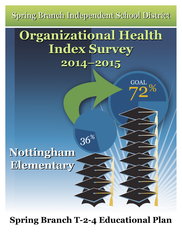Spring Branch Independent School District

# **Organizational Health Organizational Health Index Survey Index Survey 2014–2015 2014–2015**

**GOAL** 

 $36\%$ 

**Nottingham Nottingham Elementary Elementary**

**Spring Branch T-2-4 Educational Plan**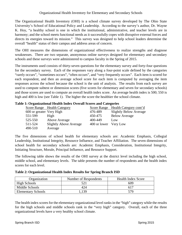The Organizational Health Inventory (OHI) is a school climate survey developed by The Ohio State University's School of Educational Policy and Leadership. According to the survey's author, Dr. Wayne K. Hoy, "a healthy school is one in which the institutional, administrative, and teacher levels are in harmony; and the school meets functional needs as it successfully copes with disruptive external forces and directs its energies toward its mission." This survey was designed to help school leaders determine the overall "health" status of their campus and address areas of concern.

The OHI measures the dimensions of organizational effectiveness to realize strengths and diagnose weaknesses. There are two separate, anonymous online surveys designed for elementary and secondary schools and these surveys were administered to campus faculty in the Spring of 2015.

The instruments used consists of thirty-seven questions for the elementary survey and forty-four questions for the secondary survey. Each of the responses vary along a four-point scale defined by the categories "rarely occurs", "sometimes occurs", "often occurs", and "very frequently occurs". Each item is scored for each respondent, and then an average school score for each item is computed by averaging the item responses across the school because the school is the unit of analysis. The results from each survey are used to compute subtest or dimension scores (five scores for elementary and seven for secondary schools) and those scores are used to compute an overall health index score. An average health index is 500; 550 is high and 400 is low (see Table 1). The higher the score the healthier the school climate.

|                          | 1, OTEMHIDMUOINNI ITUMIUI IIIWUI O TULMII DUOLUD MIIW OMUUEULIUD |                       |                                    |
|--------------------------|------------------------------------------------------------------|-----------------------|------------------------------------|
|                          | <b>Score Range</b> Health Category                               |                       | Score Range Health Category cont'd |
| 600 or greater Very High |                                                                  | 476-489               | <b>Slightly Below Average</b>      |
| 551-599                  | High                                                             | 450-475               | <b>Below Average</b>               |
| 525-550                  | Above Average                                                    | 400-449               | Low                                |
| 511-524                  | <b>Slightly Above Average</b>                                    | 400 or lower Very Low |                                    |
| 490-510                  | Average                                                          |                       |                                    |
|                          |                                                                  |                       |                                    |

### **Table 1: Organizational Health Index Overall Scores and Categories**

The five dimensions of school health for elementary schools are: Academic Emphasis, Collegial Leadership, Institutional Integrity, Resource Influence, and Teacher Affiliation. The seven dimensions of school health for secondary schools are: Academic Emphasis, Consideration, Institutional Integrity, Initiating Structure, Morale, Principal Influence, and Resource Support.

The following table shows the results of the OHI survey at the district level including the high school, middle school, and elementary levels. The table presents the number of respondents and the health index scores for each level.

**Table 2: Organizational Health Index Results for Spring Branch ISD** 

| Organization              | Number of Respondents | <b>Health Index Score</b> |  |
|---------------------------|-----------------------|---------------------------|--|
| High Schools              | 52.                   | 609                       |  |
| Middle Schools            | 424                   | 617                       |  |
| <b>Elementary Schools</b> | 139                   | 579                       |  |

The health index scores for the elementary organizational level ranks in the "high" category while the results for the high schools and middle schools rank in the "very high" category. Overall, each of the three organizational levels have a very healthy school climate.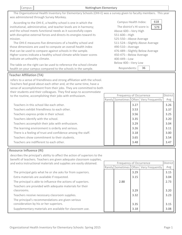|--|--|

## The Organizational Health Inventory for Elementary Schools (OHI‐E) was a survey given to faculty members. This year was administered through Survey Monkey.

Nottingham Elementary

 According to the OHI‐E, a healthy school is one in which the institutional, administrative, and teacher levels are in harmony; and the school meets functional needs as it successfully copes with disruptive external forces and directs its energies toward its mission.

The OHI-E measures five dimensions of a healthy school and those dimensions are used to compute an overall health index that can be used to compare against schools in the sample. Higher scores indicate a healthy school climate while lower scores indicate an unhealthy climate.

The table on the right can be used to reference the school climate  $B$ health on your campus compared to the schools in the sample.

# **Teacher Affiliation (TA)**

refers to a sense of friendliness and strong affiliation with the school. Teachers feel good about each other and, at the same time, have a sense of accomplishment from their jobs. They are committed to both their students and their colleagues. They find ways to accommodate to the routine, accomplishing their jobs with enthusiasm.

| Teachers in this school like each other.                    |  | 3.27 |
|-------------------------------------------------------------|--|------|
| Teachers exhibit friendliness to each other.                |  | 3.53 |
| Teachers express pride in their school.                     |  | 3.56 |
| Teachers identify with the school.                          |  | 3.35 |
| Teachers accomplish their jobs with enthusiasm.             |  | 3.29 |
| The learning environment is orderly and serious.            |  | 3.26 |
| There is a feeling of trust and confidence among the staff. |  | 3.18 |
| Teachers show commitment to their students.                 |  | 3.65 |
| Teachers are indifferent to each other.                     |  | 3.48 |

|  |      | Rarely Sometimes   Often   Very Frequently | Avg  |  |
|--|------|--------------------------------------------|------|--|
|  | 3.27 |                                            | 3.26 |  |
|  | 3.53 |                                            | 3.37 |  |
|  | 3.56 |                                            | 3.25 |  |
|  | 3.35 |                                            | 3.20 |  |
|  | 3.29 |                                            | 3.04 |  |
|  | 3.26 |                                            | 3.11 |  |
|  | 3.18 |                                            | 3.00 |  |
|  | 3.65 |                                            | 3.54 |  |
|  | 3.48 |                                            | 3.47 |  |

## **Resource Influence (RI)**

describes the principal's ability to affect the action of superiors to the benefit of teachers. Teachers are given adequate classroom supplies, and extra instructional materials and supplies are easily obtained. 3.29 Extra materials are available if requested. The principal gets what he or she asks for from superiors. The principal is able to influence the actions of superiors. Teachers are provided with adequate materials for their classrooms. Teachers receive necessary classroom supplies. The principal's recommendations are given serious consideration by his or her superiors. 3.15 2.88 3.29 3.32 3.35 Supplementary materials are available for classroom use. 3.18 Rarely Sometimes Often Very Frequently Frequency of Occurrence **District** Avg 3.15 3.04 2.73 3.20 3.23 3.15 3.08

| 618<br>Campus Health Index:        |  |
|------------------------------------|--|
| The district's HI score is:<br>579 |  |
| Above 600---Very High              |  |
| 551-600---High                     |  |
| 525-550---Above Average            |  |
| 511-524---Slightly Above Average   |  |
| 490-510---Average                  |  |
| 476-489---Slightly Below Average   |  |
| 450-475---Below Average            |  |
| 400-449---Low                      |  |
| Below 400---Very Low               |  |
| Respondents:<br>36                 |  |

Frequency of Occurrence | District